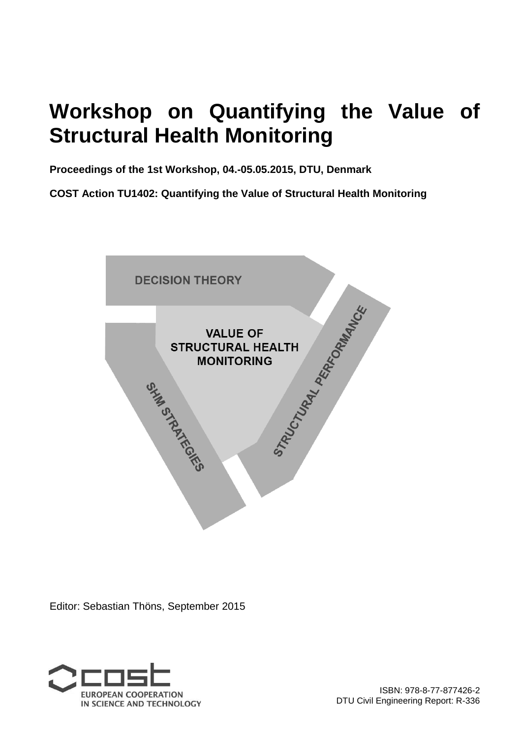## **Workshop on Quantifying the Value of Structural Health Monitoring**

**Proceedings of the 1st Workshop, 04.-05.05.2015, DTU, Denmark** 

**COST Action TU1402: Quantifying the Value of Structural Health Monitoring**



Editor: Sebastian Thöns, September 2015

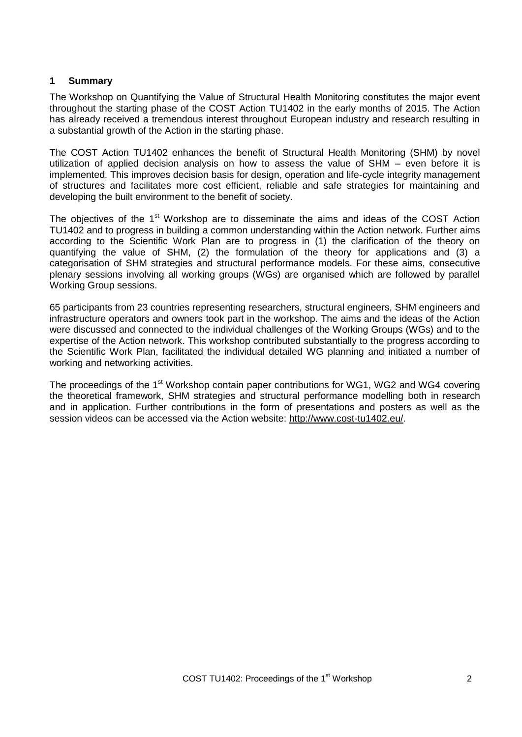## **1 Summary**

The Workshop on Quantifying the Value of Structural Health Monitoring constitutes the major event throughout the starting phase of the COST Action TU1402 in the early months of 2015. The Action has already received a tremendous interest throughout European industry and research resulting in a substantial growth of the Action in the starting phase.

The COST Action TU1402 enhances the benefit of Structural Health Monitoring (SHM) by novel utilization of applied decision analysis on how to assess the value of SHM – even before it is implemented. This improves decision basis for design, operation and life-cycle integrity management of structures and facilitates more cost efficient, reliable and safe strategies for maintaining and developing the built environment to the benefit of society.

The objectives of the 1<sup>st</sup> Workshop are to disseminate the aims and ideas of the COST Action TU1402 and to progress in building a common understanding within the Action network. Further aims according to the Scientific Work Plan are to progress in (1) the clarification of the theory on quantifying the value of SHM, (2) the formulation of the theory for applications and (3) a categorisation of SHM strategies and structural performance models. For these aims, consecutive plenary sessions involving all working groups (WGs) are organised which are followed by parallel Working Group sessions.

65 participants from 23 countries representing researchers, structural engineers, SHM engineers and infrastructure operators and owners took part in the workshop. The aims and the ideas of the Action were discussed and connected to the individual challenges of the Working Groups (WGs) and to the expertise of the Action network. This workshop contributed substantially to the progress according to the Scientific Work Plan, facilitated the individual detailed WG planning and initiated a number of working and networking activities.

The proceedings of the 1<sup>st</sup> Workshop contain paper contributions for WG1, WG2 and WG4 covering the theoretical framework, SHM strategies and structural performance modelling both in research and in application. Further contributions in the form of presentations and posters as well as the session videos can be accessed via the Action website: http://www.cost-tu1402.eu/.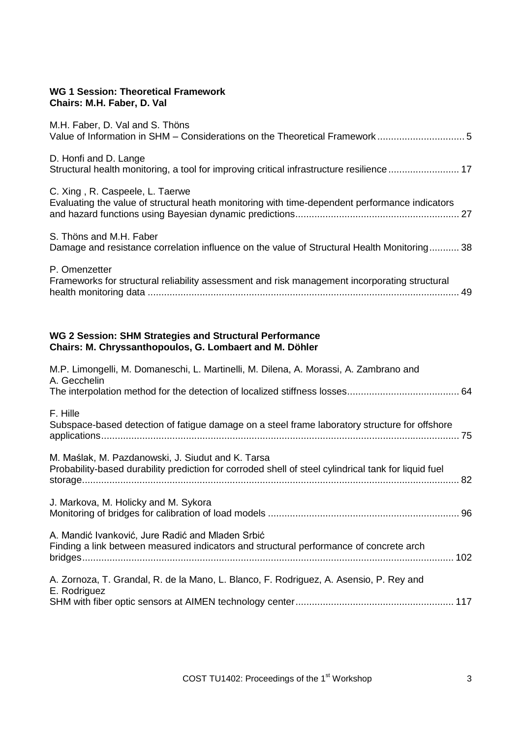## **WG 1 Session: Theoretical Framework Chairs: M.H. Faber, D. Val**

| M.H. Faber, D. Val and S. Thöns                                                                                                                           |
|-----------------------------------------------------------------------------------------------------------------------------------------------------------|
| D. Honfi and D. Lange<br>Structural health monitoring, a tool for improving critical infrastructure resilience  17                                        |
| C. Xing, R. Caspeele, L. Taerwe<br>Evaluating the value of structural heath monitoring with time-dependent performance indicators                         |
| S. Thöns and M.H. Faber<br>Damage and resistance correlation influence on the value of Structural Health Monitoring 38                                    |
| P. Omenzetter<br>Frameworks for structural reliability assessment and risk management incorporating structural                                            |
| WG 2 Session: SHM Strategies and Structural Performance<br>Chairs: M. Chryssanthopoulos, G. Lombaert and M. Döhler                                        |
| M.P. Limongelli, M. Domaneschi, L. Martinelli, M. Dilena, A. Morassi, A. Zambrano and<br>A. Gecchelin                                                     |
| F. Hille<br>Subspace-based detection of fatigue damage on a steel frame laboratory structure for offshore                                                 |
| M. Maślak, M. Pazdanowski, J. Siudut and K. Tarsa<br>Probability-based durability prediction for corroded shell of steel cylindrical tank for liquid fuel |
| J. Markova, M. Holicky and M. Sykora                                                                                                                      |
| A. Mandić Ivanković, Jure Radić and Mladen Srbić<br>Finding a link between measured indicators and structural performance of concrete arch                |

A. Zornoza, T. Grandal, R. de la Mano, L. Blanco, F. Rodriguez, A. Asensio, P. Rey and E. Rodriguez SHM with fiber optic sensors at AIMEN technology center .......................................................... 117